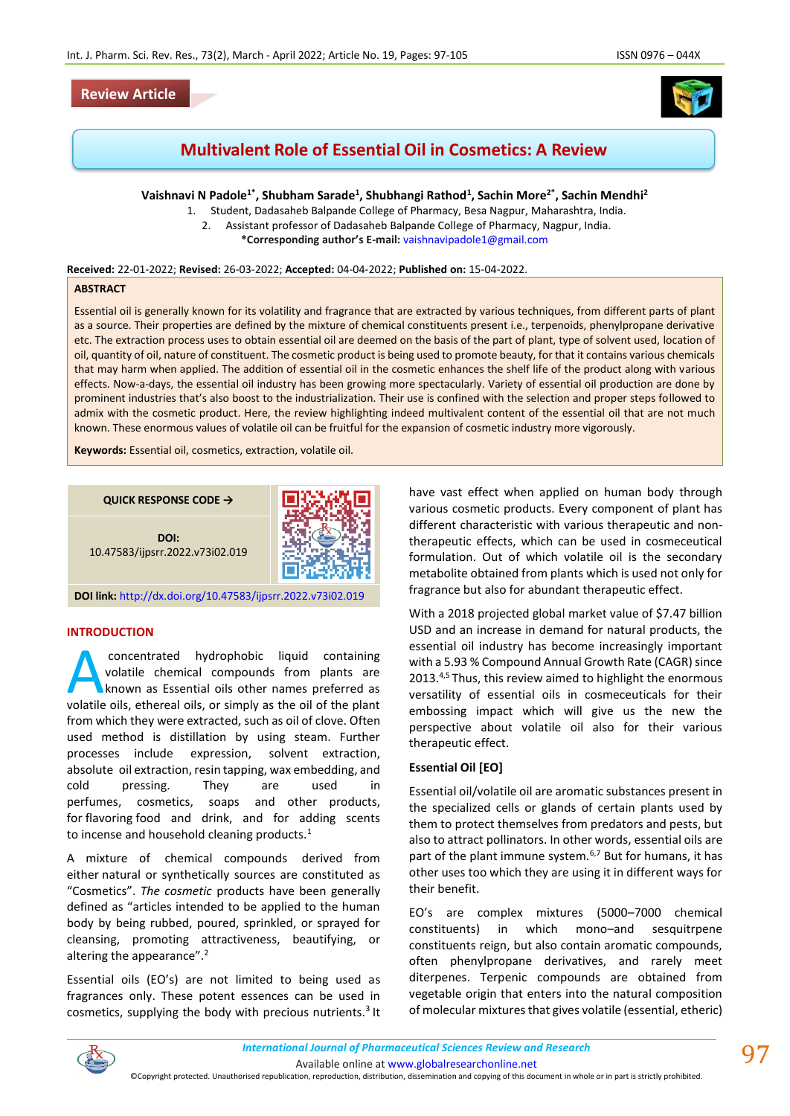## **Review Article**



# **Multivalent Role of Essential Oil in Cosmetics: A Review**

**Vaishnavi N Padole1\*, Shubham Sarade<sup>1</sup> , Shubhangi Rathod<sup>1</sup> , Sachin More2\*, Sachin Mendhi<sup>2</sup>**

1. Student, Dadasaheb Balpande College of Pharmacy, Besa Nagpur, Maharashtra, India. 2. Assistant professor of Dadasaheb Balpande College of Pharmacy, Nagpur, India. **\*Corresponding author's E-mail:** [vaishnavipadole1@gmail.com](mailto:vaishnavipadole1@gmail.com)

**Received:** 22-01-2022; **Revised:** 26-03-2022; **Accepted:** 04-04-2022; **Published on:** 15-04-2022.

#### **ABSTRACT**

Essential oil is generally known for its volatility and fragrance that are extracted by various techniques, from different parts of plant as a source. Their properties are defined by the mixture of chemical constituents present i.e., terpenoids, phenylpropane derivative etc. The extraction process uses to obtain essential oil are deemed on the basis of the part of plant, type of solvent used, location of oil, quantity of oil, nature of constituent. The cosmetic product is being used to promote beauty, for that it contains various chemicals that may harm when applied. The addition of essential oil in the cosmetic enhances the shelf life of the product along with various effects. Now-a-days, the essential oil industry has been growing more spectacularly. Variety of essential oil production are done by prominent industries that's also boost to the industrialization. Their use is confined with the selection and proper steps followed to admix with the cosmetic product. Here, the review highlighting indeed multivalent content of the essential oil that are not much known. These enormous values of volatile oil can be fruitful for the expansion of cosmetic industry more vigorously.

**Keywords:** Essential oil, cosmetics, extraction, volatile oil.

**QUICK RESPONSE CODE →**



**DOI:** 10.47583/ijpsrr.2022.v73i02.019

**DOI link:** <http://dx.doi.org/10.47583/ijpsrr.2022.v73i02.019>

### **INTRODUCTION**

concentrated hydrophobic liquid containing volatile chemical compounds from plants are known as Essential oils other names preferred as concentrated hydrophobic liquid containing<br>volatile chemical compounds from plants are<br>known as Essential oils other names preferred as<br>volatile oils, ethereal oils, or simply as the oil of the plant from which they were extracted, such as oil of clove. Often used method is distillation by using steam. Further processes include expression, solvent extraction, absolute oil extraction, resin tapping, wax embedding, and cold pressing. They are used in perfumes, cosmetics, soaps and other products, for flavoring food and drink, and for adding scents to incense and household cleaning products.<sup>1</sup>

A mixture of chemical compounds derived from either natural or synthetically sources are constituted as "Cosmetics". *The cosmetic* products have been generally defined as "articles intended to be applied to the human body by being rubbed, poured, sprinkled, or sprayed for cleansing, promoting attractiveness, beautifying, or altering the appearance".<sup>2</sup>

Essential oils (EO's) are not limited to being used as fragrances only. These potent essences can be used in cosmetics, supplying the body with precious nutrients.<sup>3</sup> It have vast effect when applied on human body through various cosmetic products. Every component of plant has different characteristic with various therapeutic and nontherapeutic effects, which can be used in cosmeceutical formulation. Out of which volatile oil is the secondary metabolite obtained from plants which is used not only for fragrance but also for abundant therapeutic effect.

With a 2018 projected global market value of \$7.47 billion USD and an increase in demand for natural products, the essential oil industry has become increasingly important with a 5.93 % Compound Annual Growth Rate (CAGR) since 2013.<sup>4,5</sup> Thus, this review aimed to highlight the enormous versatility of essential oils in cosmeceuticals for their embossing impact which will give us the new the perspective about volatile oil also for their various therapeutic effect.

#### **Essential Oil [EO]**

Essential oil/volatile oil are aromatic substances present in the specialized cells or glands of certain plants used by them to protect themselves from predators and pests, but also to attract pollinators. In other words, essential oils are part of the plant immune system.<sup>6,7</sup> But for humans, it has other uses too which they are using it in different ways for their benefit.

EO's are complex mixtures (5000–7000 chemical constituents) in which mono–and sesquitrpene constituents reign, but also contain aromatic compounds, often phenylpropane derivatives, and rarely meet diterpenes. Terpenic compounds are obtained from vegetable origin that enters into the natural composition of molecular mixtures that gives volatile (essential, etheric)



Available online a[t www.globalresearchonline.net](http://www.globalresearchonline.net/)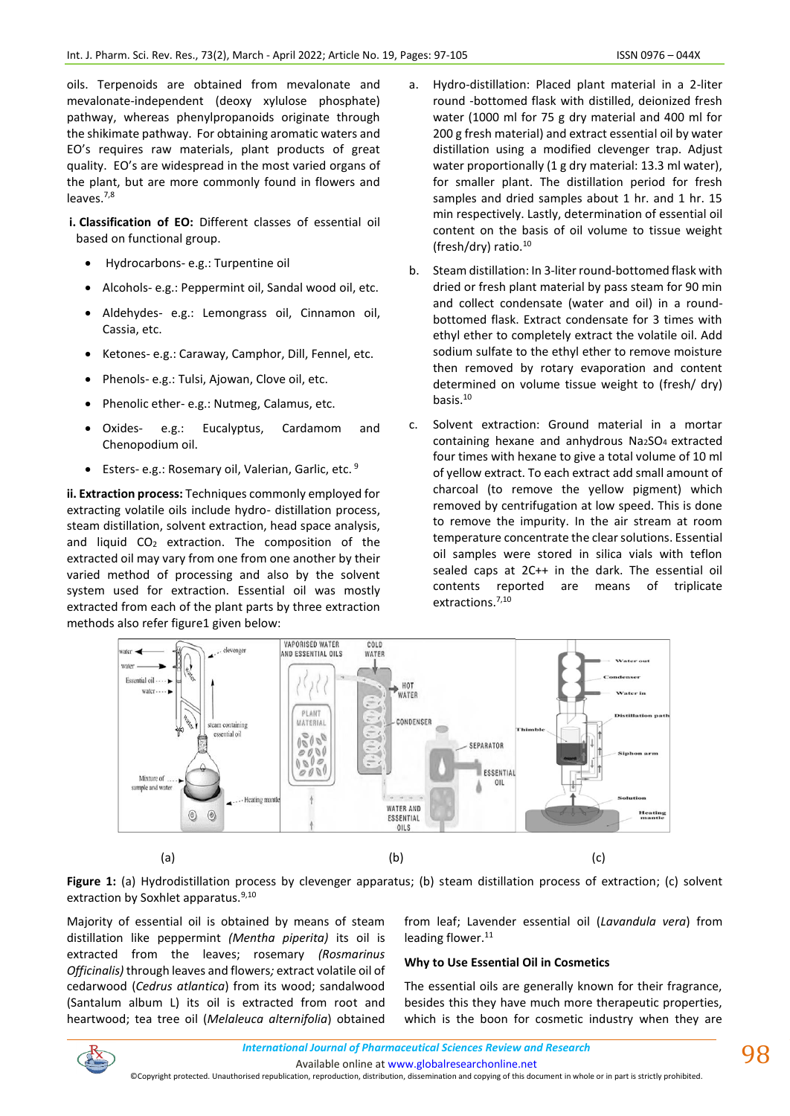oils. Terpenoids are obtained from mevalonate and mevalonate-independent (deoxy xylulose phosphate) pathway, whereas phenylpropanoids originate through the shikimate pathway. For obtaining aromatic waters and EO's requires raw materials, plant products of great quality. EO's are widespread in the most varied organs of the plant, but are more commonly found in flowers and leaves.7,8

**i. Classification of EO:** Different classes of essential oil based on functional group.

- Hydrocarbons- e.g.: Turpentine oil
- Alcohols- e.g.: Peppermint oil, Sandal wood oil, etc.
- Aldehydes- e.g.: Lemongrass oil, Cinnamon oil, Cassia, etc.
- Ketones- e.g.: Caraway, Camphor, Dill, Fennel, etc.
- Phenols- e.g.: Tulsi, Ajowan, Clove oil, etc.
- Phenolic ether- e.g.: Nutmeg, Calamus, etc.
- Oxides- e.g.: Eucalyptus, Cardamom and Chenopodium oil.
- Esters- e.g.: Rosemary oil, Valerian, Garlic, etc. 9

**ii. Extraction process:** Techniques commonly employed for extracting volatile oils include hydro- distillation process, steam distillation, solvent extraction, head space analysis, and liquid CO<sub>2</sub> extraction. The composition of the extracted oil may vary from one from one another by their varied method of processing and also by the solvent system used for extraction. Essential oil was mostly extracted from each of the plant parts by three extraction methods also refer figure1 given below:

- a. Hydro-distillation: Placed plant material in a 2-liter round -bottomed flask with distilled, deionized fresh water (1000 ml for 75 g dry material and 400 ml for 200 g fresh material) and extract essential oil by water distillation using a modified clevenger trap. Adjust water proportionally (1 g dry material: 13.3 ml water), for smaller plant. The distillation period for fresh samples and dried samples about 1 hr. and 1 hr. 15 min respectively. Lastly, determination of essential oil content on the basis of oil volume to tissue weight (fresh/dry) ratio.<sup>10</sup>
- b. Steam distillation: In 3-liter round-bottomed flask with dried or fresh plant material by pass steam for 90 min and collect condensate (water and oil) in a roundbottomed flask. Extract condensate for 3 times with ethyl ether to completely extract the volatile oil. Add sodium sulfate to the ethyl ether to remove moisture then removed by rotary evaporation and content determined on volume tissue weight to (fresh/ dry) basis.<sup>10</sup>
- c. Solvent extraction: Ground material in a mortar containing hexane and anhydrous Na2SO4 extracted four times with hexane to give a total volume of 10 ml of yellow extract. To each extract add small amount of charcoal (to remove the yellow pigment) which removed by centrifugation at low speed. This is done to remove the impurity. In the air stream at room temperature concentrate the clear solutions. Essential oil samples were stored in silica vials with teflon sealed caps at 2C++ in the dark. The essential oil contents reported are means of triplicate extractions.<sup>7,10</sup>



**Figure 1:** (a) Hydrodistillation process by clevenger apparatus; (b) steam distillation process of extraction; (c) solvent extraction by Soxhlet apparatus.<sup>9,10</sup>

Majority of essential oil is obtained by means of steam distillation like peppermint *(Mentha piperita)* its oil is extracted from the leaves; rosemary *(Rosmarinus Officinalis)* through leaves and flowers*;* extract volatile oil of cedarwood (*Cedrus atlantica*) from its wood; sandalwood (Santalum album L) its oil is extracted from root and heartwood; tea tree oil (*Melaleuca alternifolia*) obtained from leaf; Lavender essential oil (*Lavandula vera*) from leading flower.<sup>11</sup>

## **Why to Use Essential Oil in Cosmetics**

The essential oils are generally known for their fragrance, besides this they have much more therapeutic properties, which is the boon for cosmetic industry when they are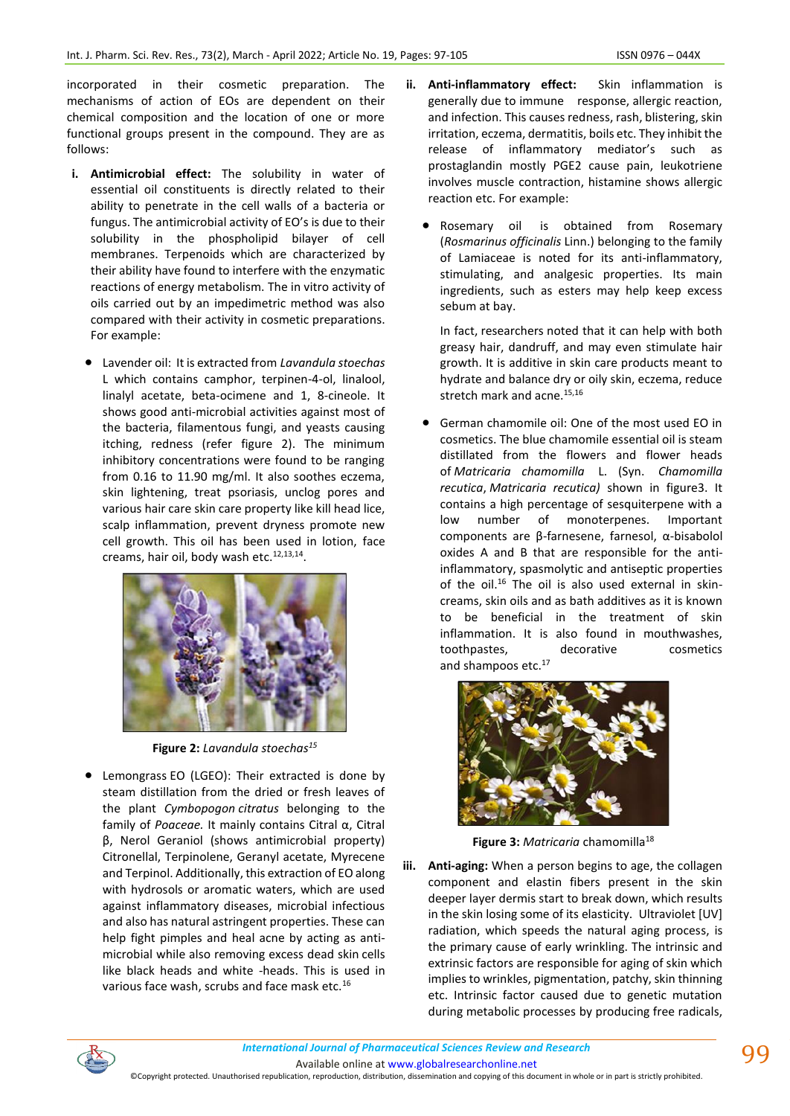incorporated in their cosmetic preparation. The mechanisms of action of EOs are dependent on their chemical composition and the location of one or more functional groups present in the compound. They are as follows:

- **i. Antimicrobial effect:** The solubility in water of essential oil constituents is directly related to their ability to penetrate in the cell walls of a bacteria or fungus. The antimicrobial activity of EO's is due to their solubility in the phospholipid bilayer of cell membranes. Terpenoids which are characterized by their ability have found to interfere with the enzymatic reactions of energy metabolism. The in vitro activity of oils carried out by an impedimetric method was also compared with their activity in cosmetic preparations. For example:
	- Lavender oil: It is extracted from *Lavandula stoechas*  L which contains camphor, terpinen-4-ol, linalool, linalyl acetate, beta-ocimene and 1, 8-cineole. It shows good anti-microbial activities against most of the bacteria, filamentous fungi, and yeasts causing itching, redness (refer figure 2). The minimum inhibitory concentrations were found to be ranging from 0.16 to 11.90 mg/ml. It also soothes eczema, skin lightening, treat psoriasis, unclog pores and various hair care skin care property like kill head lice, scalp inflammation, prevent dryness promote new cell growth. This oil has been used in lotion, face creams, hair oil, body wash etc.<sup>12,13,14</sup>.



**Figure 2:** *Lavandula stoechas<sup>15</sup>*

Lemongrass EO (LGEO): Their extracted is done by steam distillation from the dried or fresh leaves of the plant *Cymbopogon citratus* belonging to the family of *Poaceae.* It mainly contains Citral α, Citral β, Nerol Geraniol (shows antimicrobial property) Citronellal, Terpinolene, Geranyl acetate, Myrecene and Terpinol. Additionally, this extraction of EO along with hydrosols or aromatic waters, which are used against inflammatory diseases, microbial infectious and also has natural astringent properties. These can help fight pimples and heal acne by acting as antimicrobial while also removing excess dead skin cells like black heads and white -heads. This is used in various face wash, scrubs and face mask etc.<sup>16</sup>

- **ii. Anti-inflammatory effect:** Skin inflammation is generally due to immune response, allergic reaction, and infection. This causes redness, rash, blistering, skin irritation, eczema, dermatitis, boils etc. They inhibit the release of inflammatory mediator's such as prostaglandin mostly PGE2 cause pain, leukotriene involves muscle contraction, histamine shows allergic reaction etc. For example:
	- Rosemary oil is obtained from Rosemary (*Rosmarinus officinalis* Linn.) belonging to the family of Lamiaceae is noted for its anti-inflammatory, stimulating, and analgesic properties. Its main ingredients, such as esters may help keep excess sebum at bay.

In fact, researchers noted that it can help with both greasy hair, dandruff, and may even stimulate hair growth. It is additive in skin care products meant to hydrate and balance dry or oily skin, eczema, reduce stretch mark and acne.<sup>15,16</sup>

• German chamomile oil: One of the most used EO in cosmetics. The blue chamomile essential oil is steam distillated from the flowers and flower heads of *Matricaria chamomilla* L. (Syn. *Chamomilla recutica*, *Matricaria recutica)* shown in figure3. It contains a high percentage of sesquiterpene with a low number of monoterpenes. Important components are β-farnesene, farnesol, α-bisabolol oxides A and B that are responsible for the antiinflammatory, spasmolytic and antiseptic properties of the oil.<sup>16</sup> The oil is also used external in skincreams, skin oils and as bath additives as it is known to be beneficial in the treatment of skin inflammation. It is also found in mouthwashes, toothpastes, decorative cosmetics and shampoos etc.<sup>17</sup>



**Figure 3: Matricaria chamomilla<sup>18</sup>** 

**iii. Anti-aging:** When a person begins to age, the collagen component and elastin fibers present in the skin deeper layer dermis start to break down, which results in the skin losing some of its elasticity. Ultraviolet [UV] radiation, which speeds the natural aging process, is the primary cause of early wrinkling. The intrinsic and extrinsic factors are responsible for aging of skin which implies to wrinkles, pigmentation, patchy, skin thinning etc. Intrinsic factor caused due to genetic mutation during metabolic processes by producing free radicals,



Available online a[t www.globalresearchonline.net](http://www.globalresearchonline.net/)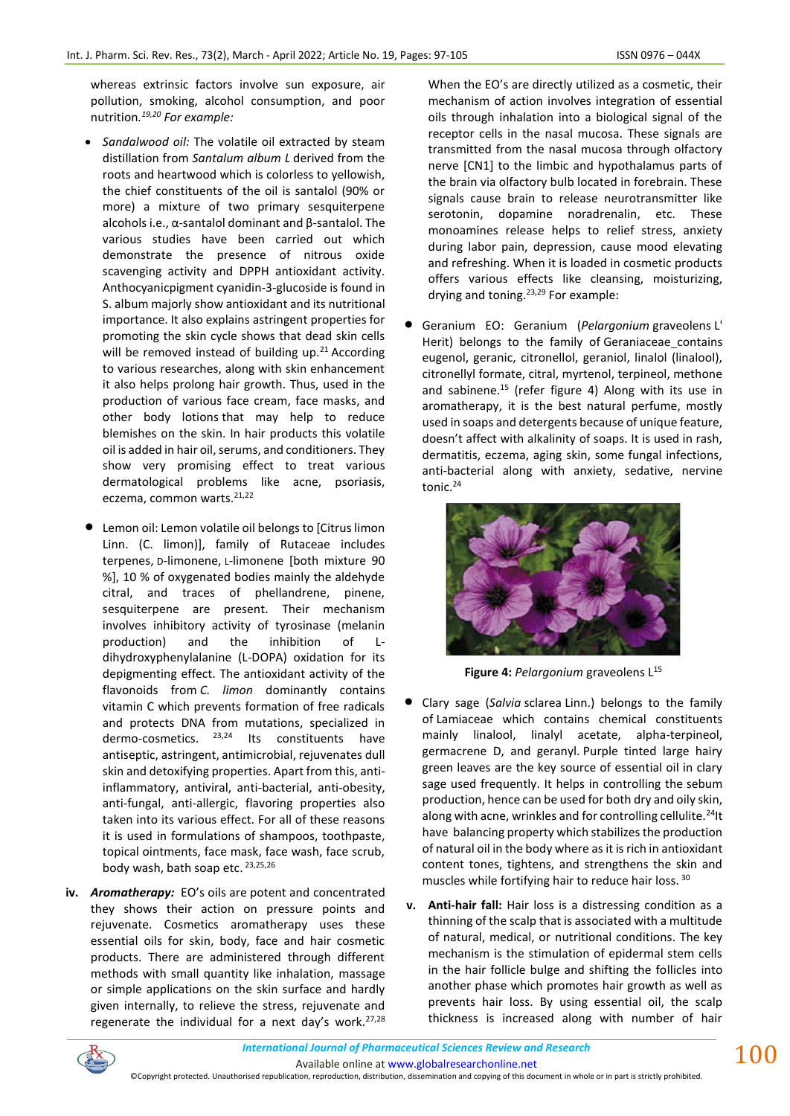whereas extrinsic factors involve sun exposure, air pollution, smoking, alcohol consumption, and poor nutrition*. 19,20 For example:*

- *Sandalwood oil:* The volatile oil extracted by steam distillation from *Santalum album L* derived from the roots and heartwood which is colorless to yellowish, the chief constituents of the oil is santalol (90% or more) a mixture of two primary sesquiterpene alcohols i.e., α-santalol dominant and β-santalol. The various studies have been carried out which demonstrate the presence of nitrous oxide scavenging activity and DPPH antioxidant activity. Anthocyanicpigment cyanidin-3-glucoside is found in S. album majorly show antioxidant and its nutritional importance. It also explains astringent properties for promoting the skin cycle shows that dead skin cells will be removed instead of building up. $21$  According to various researches, along with skin enhancement it also helps prolong hair growth. Thus, used in the production of various face cream, face masks, and other body lotions that may help to reduce blemishes on the skin. In hair products this volatile oil is added in hair oil, serums, and conditioners. They show very promising effect to treat various dermatological problems like acne, psoriasis, eczema, common warts.<sup>21,22</sup>
- Lemon oil: Lemon volatile oil belongs to [Citrus limon Linn. (C. limon)], family of Rutaceae includes terpenes, D-limonene, L-limonene [both mixture 90 %], 10 % of oxygenated bodies mainly the aldehyde citral, and traces of phellandrene, pinene, sesquiterpene are present. Their mechanism involves inhibitory activity of tyrosinase (melanin production) and the inhibition of Ldihydroxyphenylalanine (L-DOPA) oxidation for its depigmenting effect. The antioxidant activity of the flavonoids from *C. limon* dominantly contains vitamin C which prevents formation of free radicals and protects DNA from mutations, specialized in dermo-cosmetics. <sup>23,24</sup> Its constituents have antiseptic, astringent, antimicrobial, rejuvenates dull skin and detoxifying properties. Apart from this, antiinflammatory, antiviral, anti-bacterial, anti-obesity, anti-fungal, anti-allergic, flavoring properties also taken into its various effect. For all of these reasons it is used in formulations of shampoos, toothpaste, topical ointments, face mask, face wash, face scrub, body wash, bath soap etc. 23,25,26
- **iv.** *Aromatherapy:* EO's oils are potent and concentrated they shows their action on pressure points and rejuvenate. Cosmetics aromatherapy uses these essential oils for skin, body, face and hair cosmetic products. There are administered through different methods with small quantity like inhalation, massage or simple applications on the skin surface and hardly given internally, to relieve the stress, rejuvenate and regenerate the individual for a next day's work. $27,28$

When the EO's are directly utilized as a cosmetic, their mechanism of action involves integration of essential oils through inhalation into a biological signal of the receptor cells in the nasal mucosa. These signals are transmitted from the nasal mucosa through olfactory nerve [CN1] to the limbic and hypothalamus parts of the brain via olfactory bulb located in forebrain. These signals cause brain to release neurotransmitter like serotonin, dopamine noradrenalin, etc. These monoamines release helps to relief stress, anxiety during labor pain, depression, cause mood elevating and refreshing. When it is loaded in cosmetic products offers various effects like cleansing, moisturizing, drying and toning.  $23,29$  For example:

• Geranium EO: Geranium (*Pelargonium* graveolens L' Herit) belongs to the family of Geraniaceae contains eugenol, geranic, citronellol, geraniol, linalol (linalool), citronellyl formate, citral, myrtenol, terpineol, methone and sabinene.<sup>15</sup> (refer figure 4) Along with its use in aromatherapy, it is the best natural perfume, mostly used in soaps and detergents because of unique feature, doesn't affect with alkalinity of soaps. It is used in rash, dermatitis, eczema, aging skin, some fungal infections, anti-bacterial along with anxiety, sedative, nervine tonic.<sup>24</sup>



**Figure 4:** *Pelargonium* graveolens L 15

- Clary sage (*Salvia* sclarea Linn.) belongs to the family of Lamiaceae which contains chemical constituents mainly linalool, linalyl acetate, alpha-terpineol, germacrene D, and geranyl. Purple tinted large hairy green leaves are the key source of essential oil in clary sage used frequently. It helps in controlling the sebum production, hence can be used for both dry and oily skin, along with acne, wrinkles and for controlling cellulite.<sup>24</sup>It have balancing property which stabilizes the production of natural oil in the body where as it is rich in antioxidant content tones, tightens, and strengthens the skin and muscles while fortifying hair to reduce hair loss. 30
- **v. Anti-hair fall:** Hair loss is a distressing condition as a thinning of the scalp that is associated with a multitude of natural, medical, or nutritional conditions. The key mechanism is the stimulation of epidermal stem cells in the hair follicle bulge and shifting the follicles into another phase which promotes hair growth as well as prevents hair loss. By using essential oil, the scalp thickness is increased along with number of hair

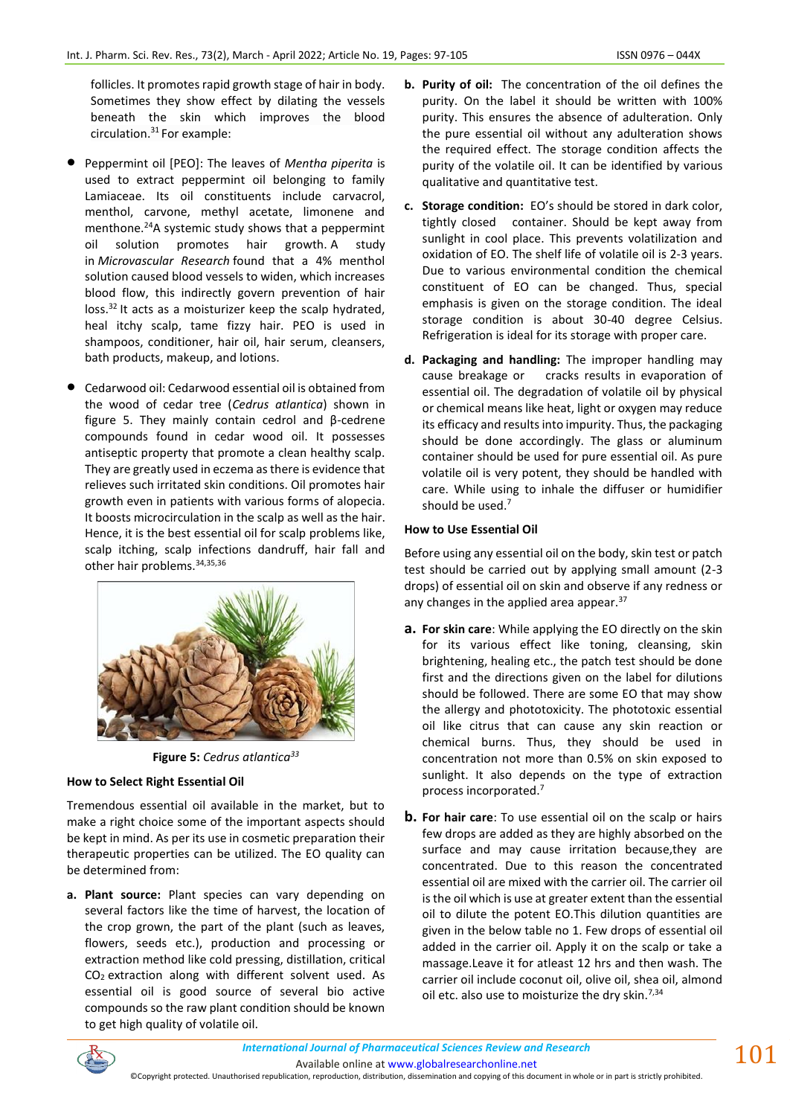follicles. It promotes rapid growth stage of hair in body. Sometimes they show effect by dilating the vessels beneath the skin which improves the blood circulation.<sup>31</sup> For example:

- Peppermint oil [PEO]: The leaves of *Mentha piperita* is used to extract peppermint oil belonging to family Lamiaceae. Its oil constituents include carvacrol, menthol, carvone, methyl acetate, limonene and menthone.<sup>24</sup>A systemic study shows that a peppermint oil solution promotes hair growth. A study in *[Microvascular Research](http://www.sciencedirect.com/science/article/pii/S0026286216300401?via%3Dihub)* found that a 4% menthol solution caused blood vessels to widen, which increases blood flow, this indirectly govern prevention of hair  $loss.<sup>32</sup>$  It acts as a moisturizer keep the scalp hydrated, heal itchy scalp, tame fizzy hair. PEO is used in shampoos, conditioner, hair oil, hair serum, cleansers, bath products, makeup, and lotions.
- Cedarwood oil: Cedarwood essential oil is obtained from the wood of cedar tree (*Cedrus atlantica*) shown in figure 5. They mainly contain cedrol and β-cedrene compounds found in cedar wood oil. It possesses antiseptic property that promote a clean healthy scalp. They are greatly used in eczema as there is evidence that relieves such irritated skin conditions. Oil promotes hair growth even in patients with various forms of alopecia. It boosts microcirculation in the scalp as well as the hair. Hence, it is the best essential oil for scalp problems like, scalp itching, scalp infections dandruff, hair fall and other hair problems. 34,35,36



**Figure 5:** *Cedrus atlantica<sup>33</sup>*

## **How to Select Right Essential Oil**

Tremendous essential oil available in the market, but to make a right choice some of the important aspects should be kept in mind. As per its use in cosmetic preparation their therapeutic properties can be utilized. The EO quality can be determined from:

**a. Plant source:** Plant species can vary depending on several factors like the time of harvest, the location of the crop grown, the part of the plant (such as leaves, flowers, seeds etc.), production and processing or extraction method like cold pressing, distillation, critical CO<sup>2</sup> extraction along with different solvent used. As essential oil is good source of several bio active compounds so the raw plant condition should be known to get high quality of volatile oil.

- **b. Purity of oil:** The concentration of the oil defines the purity. On the label it should be written with 100% purity. This ensures the absence of adulteration. Only the pure essential oil without any adulteration shows the required effect. The storage condition affects the purity of the volatile oil. It can be identified by various qualitative and quantitative test.
- **c. Storage condition:** EO's should be stored in dark color, tightly closed container. Should be kept away from sunlight in cool place. This prevents volatilization and oxidation of EO. The shelf life of volatile oil is 2-3 years. Due to various environmental condition the chemical constituent of EO can be changed. Thus, special emphasis is given on the storage condition. The ideal storage condition is about 30-40 degree Celsius. Refrigeration is ideal for its storage with proper care.
- **d. Packaging and handling:** The improper handling may cause breakage or cracks results in evaporation of essential oil. The degradation of volatile oil by physical or chemical means like heat, light or oxygen may reduce its efficacy and results into impurity. Thus, the packaging should be done accordingly. The glass or aluminum container should be used for pure essential oil. As pure volatile oil is very potent, they should be handled with care. While using to inhale the diffuser or humidifier should be used.<sup>7</sup>

### **How to Use Essential Oil**

Before using any essential oil on the body, skin test or patch test should be carried out by applying small amount (2-3 drops) of essential oil on skin and observe if any redness or any changes in the applied area appear.<sup>37</sup>

- **a. For skin care**: While applying the EO directly on the skin for its various effect like toning, cleansing, skin brightening, healing etc., the patch test should be done first and the directions given on the label for dilutions should be followed. There are some EO that may show the allergy and phototoxicity. The phototoxic essential oil like citrus that can cause any skin reaction or chemical burns. Thus, they should be used in concentration not more than 0.5% on skin exposed to sunlight. It also depends on the type of extraction process incorporated.<sup>7</sup>
- **b. For hair care**: To use essential oil on the scalp or hairs few drops are added as they are highly absorbed on the surface and may cause irritation because,they are concentrated. Due to this reason the concentrated essential oil are mixed with the carrier oil. The carrier oil is the oil which is use at greater extent than the essential oil to dilute the potent EO.This dilution quantities are given in the below table no 1. Few drops of essential oil added in the carrier oil. Apply it on the scalp or take a massage.Leave it for atleast 12 hrs and then wash. The carrier oil include coconut oil, olive oil, shea oil, almond oil etc. also use to moisturize the dry skin.<sup>7,34</sup>



Available online a[t www.globalresearchonline.net](http://www.globalresearchonline.net/)

©Copyright protected. Unauthorised republication, reproduction, distribution, dissemination and copying of this document in whole or in part is strictly prohibited.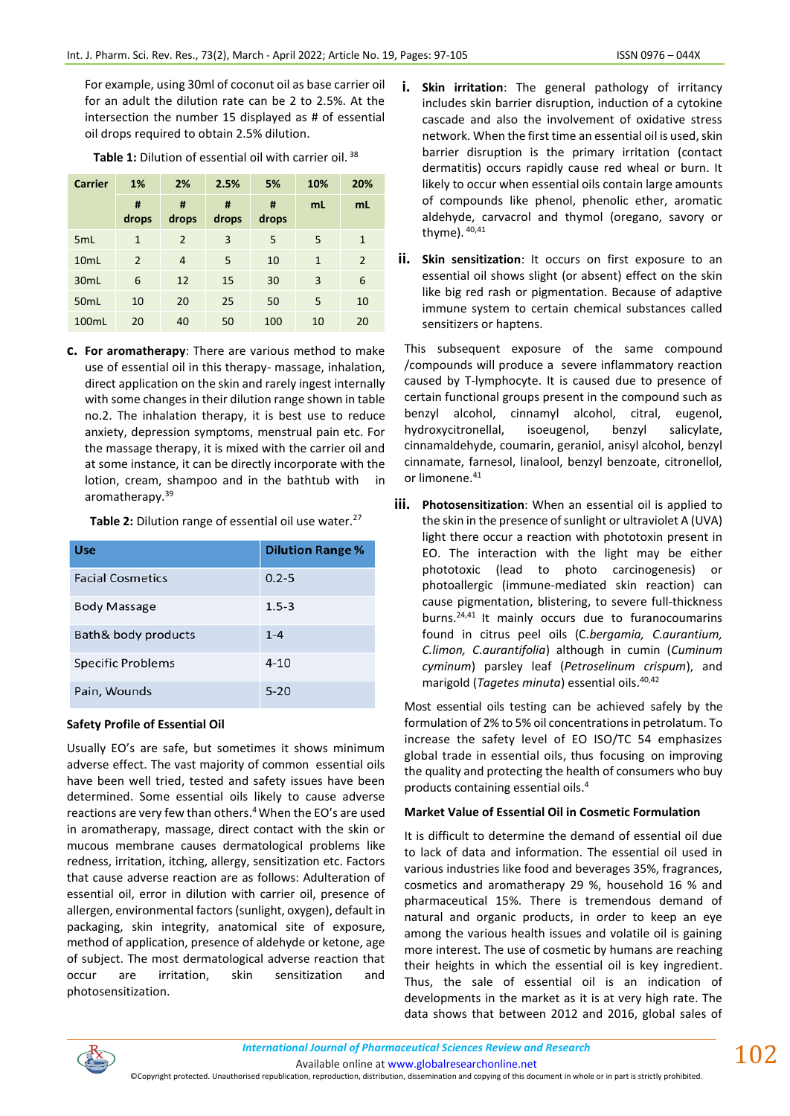For example, using 30ml of coconut oil as base carrier oil for an adult the dilution rate can be 2 to 2.5%. At the intersection the number 15 displayed as # of essential oil drops required to obtain 2.5% dilution.

| <b>Carrier</b>   | 1%            | 2%         | 2.5%       | 5%         | 10%          | 20% |
|------------------|---------------|------------|------------|------------|--------------|-----|
|                  | #<br>drops    | #<br>drops | #<br>drops | #<br>drops | mL           | mL  |
| 5 <sub>mL</sub>  | 1             | 2          | 3          | 5          | 5            | 1   |
| 10mL             | $\mathcal{P}$ | 4          | 5          | 10         | $\mathbf{1}$ | 2   |
| 30 <sub>mL</sub> | 6             | 12         | 15         | 30         | 3            | 6   |
| 50 <sub>mL</sub> | 10            | 20         | 25         | 50         | 5            | 10  |
| 100mL            | 20            | 40         | 50         | 100        | 10           | 20  |

Table 1: Dilution of essential oil with carrier oil.<sup>38</sup>

**c. For aromatherapy**: There are various method to make use of essential oil in this therapy- massage, inhalation, direct application on the skin and rarely ingest internally with some changes in their dilution range shown in table no.2. The inhalation therapy, it is best use to reduce anxiety, depression symptoms, menstrual pain etc. For the massage therapy, it is mixed with the carrier oil and at some instance, it can be directly incorporate with the lotion, cream, shampoo and in the bathtub with in aromatherapy.<sup>39</sup>

Table 2: Dilution range of essential oil use water.<sup>27</sup>

| <b>Use</b>               | <b>Dilution Range %</b> |
|--------------------------|-------------------------|
| <b>Facial Cosmetics</b>  | $0.2 - 5$               |
| <b>Body Massage</b>      | $1.5 - 3$               |
| Bath & body products     | $1 - 4$                 |
| <b>Specific Problems</b> | $4 - 10$                |
| Pain, Wounds             | $5 - 20$                |

## **Safety Profile of Essential Oil**

Usually EO's are safe, but sometimes it shows minimum adverse effect. The vast majority of common essential oils have been well tried, tested and safety issues have been determined. Some essential oils likely to cause adverse reactions are very few than others. <sup>4</sup>When the EO's are used in aromatherapy, massage, direct contact with the skin or mucous membrane causes dermatological problems like redness, irritation, itching, allergy, sensitization etc. Factors that cause adverse reaction are as follows: Adulteration of essential oil, error in dilution with carrier oil, presence of allergen, environmental factors (sunlight, oxygen), default in packaging, skin integrity, anatomical site of exposure, method of application, presence of aldehyde or ketone, age of subject. The most dermatological adverse reaction that occur are irritation, skin sensitization and photosensitization.

- **i. Skin irritation**: The general pathology of irritancy includes skin barrier disruption, induction of a cytokine cascade and also the involvement of oxidative stress network. When the first time an essential oil is used, skin barrier disruption is the primary irritation (contact dermatitis) occurs rapidly cause red wheal or burn. It likely to occur when essential oils contain large amounts of compounds like phenol, phenolic ether, aromatic aldehyde, carvacrol and thymol (oregano, savory or thyme). 40,41
- **ii. Skin sensitization**: It occurs on first exposure to an essential oil shows slight (or absent) effect on the skin like big red rash or pigmentation. Because of adaptive immune system to certain chemical substances called sensitizers or haptens.

This subsequent exposure of the same compound /compounds will produce a severe inflammatory reaction caused by T-lymphocyte. It is caused due to presence of certain functional groups present in the compound such as benzyl alcohol, cinnamyl alcohol, citral, eugenol, hydroxycitronellal, isoeugenol, benzyl salicylate, cinnamaldehyde, coumarin, geraniol, anisyl alcohol, benzyl cinnamate, farnesol, linalool, benzyl benzoate, citronellol, or limonene.<sup>41</sup>

**iii. Photosensitization**: When an essential oil is applied to the skin in the presence of sunlight or ultraviolet A (UVA) light there occur a reaction with phototoxin present in EO. The interaction with the light may be either phototoxic (lead to photo carcinogenesis) or photoallergic (immune-mediated skin reaction) can cause pigmentation, blistering, to severe full-thickness burns.24,41 It mainly occurs due to furanocoumarins found in citrus peel oils (C*.bergamia, C.aurantium, C.limon, C.aurantifolia*) although in cumin (*Cuminum cyminum*) parsley leaf (*Petroselinum crispum*), and marigold (*Tagetes minuta*) essential oils.40,42

Most essential oils testing can be achieved safely by the formulation of 2% to 5% oil concentrations in petrolatum. To increase the safety level of EO ISO/TC 54 emphasizes global trade in essential oils, thus focusing on improving the quality and protecting the health of consumers who buy products containing essential oils. 4

## **Market Value of Essential Oil in Cosmetic Formulation**

It is difficult to determine the demand of essential oil due to lack of data and information. The essential oil used in various industries like food and beverages 35%, fragrances, cosmetics and aromatherapy 29 %, household 16 % and pharmaceutical 15%. There is tremendous demand of natural and organic products, in order to keep an eye among the various health issues and volatile oil is gaining more interest. The use of cosmetic by humans are reaching their heights in which the essential oil is key ingredient. Thus, the sale of essential oil is an indication of developments in the market as it is at very high rate. The data shows that between 2012 and 2016, global sales of



Available online a[t www.globalresearchonline.net](http://www.globalresearchonline.net/) ©Copyright protected. Unauthorised republication, reproduction, distribution, dissemination and copying of this document in whole or in part is strictly prohibited.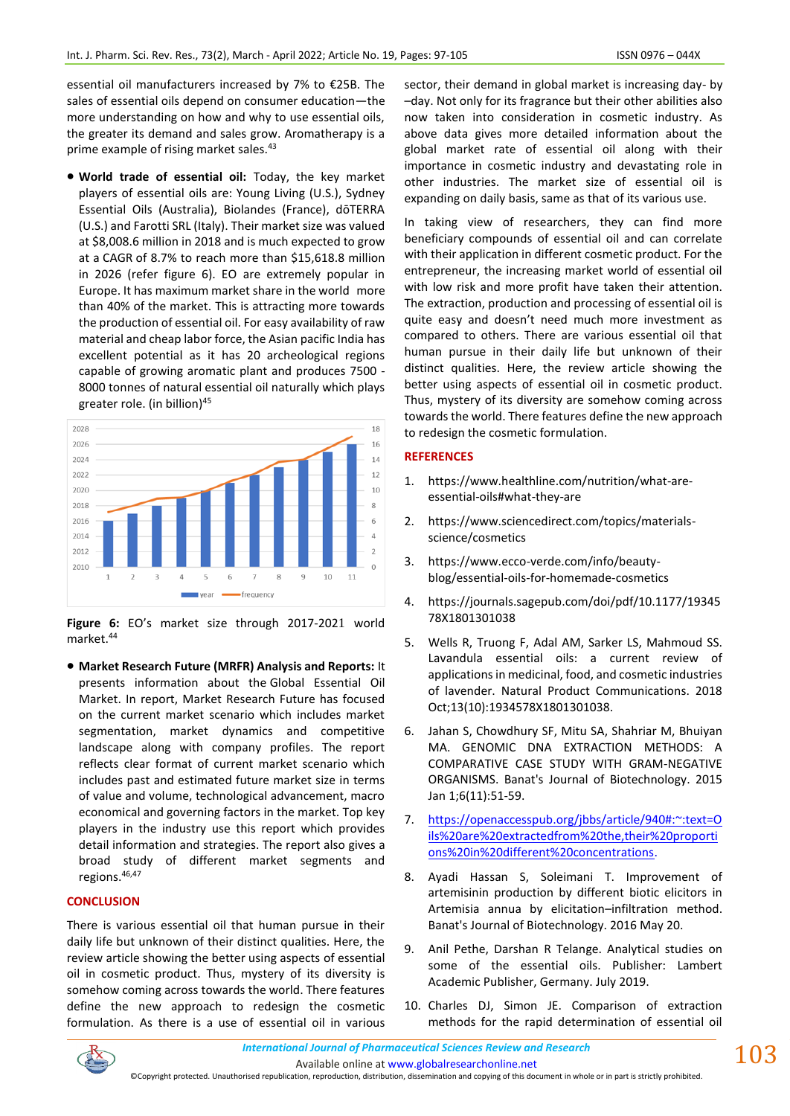essential oil manufacturers increased by 7% to €25B. The sales of essential oils depend on consumer education—the more understanding on how and why to use essential oils, the greater its demand and sales grow. Aromatherapy is a prime example of rising market sales.<sup>43</sup>

• **World trade of essential oil:** Today, the key market players of essential oils are: Young Living (U.S.), Sydney Essential Oils (Australia), Biolandes (France), dōTERRA (U.S.) and Farotti SRL (Italy). Their market size was valued at \$8,008.6 million in 2018 and is much expected to grow at a CAGR of 8.7% to reach more than \$15,618.8 million in 2026 (refer figure 6). EO are extremely popular in Europe. It has maximum market share in the world more than 40% of the market. This is attracting more towards the production of essential oil. For easy availability of raw material and cheap labor force, the Asian pacific India has excellent potential as it has 20 archeological regions capable of growing aromatic plant and produces 7500 - 8000 tonnes of natural essential oil naturally which plays greater role. (in billion)<sup>45</sup>



**Figure 6:** EO's market size through 2017-2021 world market.<sup>44</sup>

• **Market Research Future (MRFR) Analysis and Reports:** It presents information about the Global Essential Oil Market. In report, Market Research Future has focused on the current market scenario which includes market segmentation, market dynamics and competitive landscape along with company profiles. The report reflects clear format of current market scenario which includes past and estimated future market size in terms of value and volume, technological advancement, macro economical and governing factors in the market. Top key players in the industry use this report which provides detail information and strategies. The report also gives a broad study of different market segments and regions.46,47

#### **CONCLUSION**

There is various essential oil that human pursue in their daily life but unknown of their distinct qualities. Here, the review article showing the better using aspects of essential oil in cosmetic product. Thus, mystery of its diversity is somehow coming across towards the world. There features define the new approach to redesign the cosmetic formulation. As there is a use of essential oil in various sector, their demand in global market is increasing day- by –day. Not only for its fragrance but their other abilities also now taken into consideration in cosmetic industry. As above data gives more detailed information about the global market rate of essential oil along with their importance in cosmetic industry and devastating role in other industries. The market size of essential oil is expanding on daily basis, same as that of its various use.

In taking view of researchers, they can find more beneficiary compounds of essential oil and can correlate with their application in different cosmetic product. For the entrepreneur, the increasing market world of essential oil with low risk and more profit have taken their attention. The extraction, production and processing of essential oil is quite easy and doesn't need much more investment as compared to others. There are various essential oil that human pursue in their daily life but unknown of their distinct qualities. Here, the review article showing the better using aspects of essential oil in cosmetic product. Thus, mystery of its diversity are somehow coming across towards the world. There features define the new approach to redesign the cosmetic formulation.

#### **REFERENCES**

- 1. https://www.healthline.com/nutrition/what-areessential-oils#what-they-are
- 2. https://www.sciencedirect.com/topics/materialsscience/cosmetics
- 3. https://www.ecco-verde.com/info/beautyblog/essential-oils-for-homemade-cosmetics
- 4. https://journals.sagepub.com/doi/pdf/10.1177/19345 78X1801301038
- 5. Wells R, Truong F, Adal AM, Sarker LS, Mahmoud SS. Lavandula essential oils: a current review of applications in medicinal, food, and cosmetic industries of lavender. Natural Product Communications. 2018 Oct;13(10):1934578X1801301038.
- 6. Jahan S, Chowdhury SF, Mitu SA, Shahriar M, Bhuiyan MA. GENOMIC DNA EXTRACTION METHODS: A COMPARATIVE CASE STUDY WITH GRAM-NEGATIVE ORGANISMS. Banat's Journal of Biotechnology. 2015 Jan 1;6(11):51-59.
- 7. [https://openaccesspub.org/jbbs/article/940#:~:text=O](https://openaccesspub.org/jbbs/article/940#:~:text=Oils%20are%20extracted%20from%20the,their%20proportions%20in%20different%20concentrations) [ils%20are%20extractedfrom%20the,their%20proporti](https://openaccesspub.org/jbbs/article/940#:~:text=Oils%20are%20extracted%20from%20the,their%20proportions%20in%20different%20concentrations) [ons%20in%20different%20concentrations.](https://openaccesspub.org/jbbs/article/940#:~:text=Oils%20are%20extracted%20from%20the,their%20proportions%20in%20different%20concentrations)
- 8. Ayadi Hassan S, Soleimani T. Improvement of artemisinin production by different biotic elicitors in Artemisia annua by elicitation–infiltration method. Banat's Journal of Biotechnology. 2016 May 20.
- 9. Anil Pethe, Darshan R Telange. Analytical studies on some of the essential oils. Publisher: Lambert Academic Publisher, Germany. July 2019.
- 10. Charles DJ, Simon JE. Comparison of extraction methods for the rapid determination of essential oil

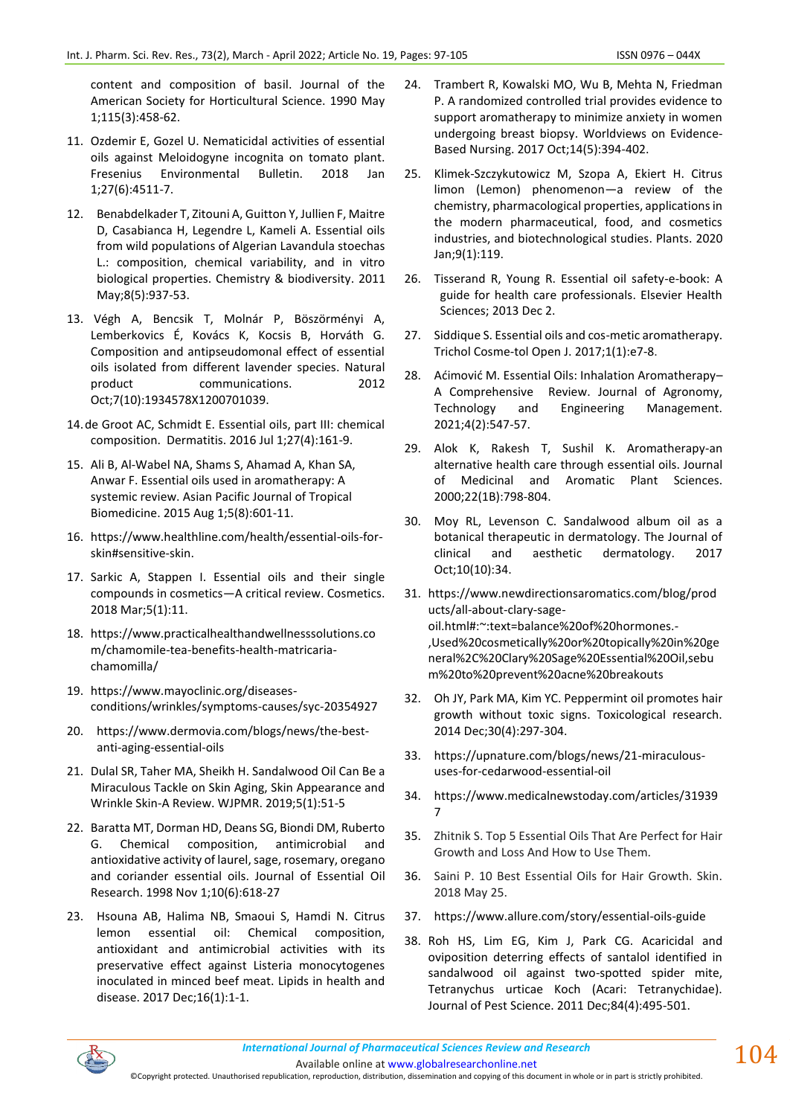content and composition of basil. Journal of the American Society for Horticultural Science. 1990 May 1;115(3):458-62.

- 11. Ozdemir E, Gozel U. Nematicidal activities of essential oils against Meloidogyne incognita on tomato plant. Fresenius Environmental Bulletin. 2018 Jan 1;27(6):4511-7.
- 12. Benabdelkader T, Zitouni A, Guitton Y, Jullien F, Maitre D, Casabianca H, Legendre L, Kameli A. Essential oils from wild populations of Algerian Lavandula stoechas L.: composition, chemical variability, and in vitro biological properties. Chemistry & biodiversity. 2011 May;8(5):937-53.
- 13. Végh A, Bencsik T, Molnár P, Böszörményi A, Lemberkovics É, Kovács K, Kocsis B, Horváth G. Composition and antipseudomonal effect of essential oils isolated from different lavender species. Natural product communications. 2012 Oct;7(10):1934578X1200701039.
- 14.de Groot AC, Schmidt E. Essential oils, part III: chemical composition. Dermatitis. 2016 Jul 1;27(4):161-9.
- 15. Ali B, Al-Wabel NA, Shams S, Ahamad A, Khan SA, Anwar F. Essential oils used in aromatherapy: A systemic review. Asian Pacific Journal of Tropical Biomedicine. 2015 Aug 1;5(8):601-11.
- 16. https://www.healthline.com/health/essential-oils-forskin#sensitive-skin.
- 17. Sarkic A, Stappen I. Essential oils and their single compounds in cosmetics—A critical review. Cosmetics. 2018 Mar;5(1):11.
- 18. https://www.practicalhealthandwellnesssolutions.co m/chamomile-tea-benefits-health-matricariachamomilla/
- 19. https://www.mayoclinic.org/diseasesconditions/wrinkles/symptoms-causes/syc-20354927
- 20. https://www.dermovia.com/blogs/news/the-bestanti-aging-essential-oils
- 21. Dulal SR, Taher MA, Sheikh H. Sandalwood Oil Can Be a Miraculous Tackle on Skin Aging, Skin Appearance and Wrinkle Skin-A Review. WJPMR. 2019;5(1):51-5
- 22. Baratta MT, Dorman HD, Deans SG, Biondi DM, Ruberto G. Chemical composition, antimicrobial and antioxidative activity of laurel, sage, rosemary, oregano and coriander essential oils. Journal of Essential Oil Research. 1998 Nov 1;10(6):618-27
- 23. Hsouna AB, Halima NB, Smaoui S, Hamdi N. Citrus lemon essential oil: Chemical composition, antioxidant and antimicrobial activities with its preservative effect against Listeria monocytogenes inoculated in minced beef meat. Lipids in health and disease. 2017 Dec;16(1):1-1.
- 24. Trambert R, Kowalski MO, Wu B, Mehta N, Friedman P. A randomized controlled trial provides evidence to support aromatherapy to minimize anxiety in women undergoing breast biopsy. Worldviews on Evidence‐ Based Nursing. 2017 Oct;14(5):394-402.
- 25. Klimek-Szczykutowicz M, Szopa A, Ekiert H. Citrus limon (Lemon) phenomenon—a review of the chemistry, pharmacological properties, applications in the modern pharmaceutical, food, and cosmetics industries, and biotechnological studies. Plants. 2020 Jan;9(1):119.
- 26. Tisserand R, Young R. Essential oil safety-e-book: A guide for health care professionals. Elsevier Health Sciences; 2013 Dec 2.
- 27. Siddique S. Essential oils and cos-metic aromatherapy. Trichol Cosme-tol Open J. 2017;1(1):e7-8.
- 28. Aćimović M. Essential Oils: Inhalation Aromatherapy– A Comprehensive Review. Journal of Agronomy, Technology and Engineering Management. 2021;4(2):547-57.
- 29. Alok K, Rakesh T, Sushil K. Aromatherapy-an alternative health care through essential oils. Journal of Medicinal and Aromatic Plant Sciences. 2000;22(1B):798-804.
- 30. Moy RL, Levenson C. Sandalwood album oil as a botanical therapeutic in dermatology. The Journal of clinical and aesthetic dermatology. 2017 Oct;10(10):34.
- 31. https://www.newdirectionsaromatics.com/blog/prod ucts/all-about-clary-sageoil.html#:~:text=balance%20of%20hormones.- ,Used%20cosmetically%20or%20topically%20in%20ge neral%2C%20Clary%20Sage%20Essential%20Oil,sebu m%20to%20prevent%20acne%20breakouts
- 32. Oh JY, Park MA, Kim YC. Peppermint oil promotes hair growth without toxic signs. Toxicological research. 2014 Dec;30(4):297-304.
- 33. https://upnature.com/blogs/news/21-miraculoususes-for-cedarwood-essential-oil
- 34. https://www.medicalnewstoday.com/articles/31939 7
- 35. Zhitnik S. Top 5 Essential Oils That Are Perfect for Hair Growth and Loss And How to Use Them.
- 36. Saini P. 10 Best Essential Oils for Hair Growth. Skin. 2018 May 25.
- 37. https://www.allure.com/story/essential-oils-guide
- 38. Roh HS, Lim EG, Kim J, Park CG. Acaricidal and oviposition deterring effects of santalol identified in sandalwood oil against two-spotted spider mite, Tetranychus urticae Koch (Acari: Tetranychidae). Journal of Pest Science. 2011 Dec;84(4):495-501.



Available online a[t www.globalresearchonline.net](http://www.globalresearchonline.net/)

©Copyright protected. Unauthorised republication, reproduction, distribution, dissemination and copying of this document in whole or in part is strictly prohibited.